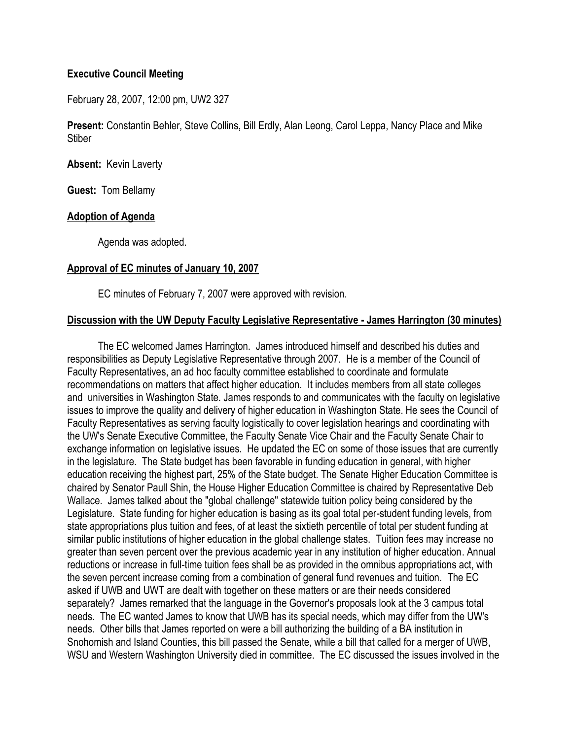### **Executive Council Meeting**

February 28, 2007, 12:00 pm, UW2 327

**Present:** Constantin Behler, Steve Collins, Bill Erdly, Alan Leong, Carol Leppa, Nancy Place and Mike **Stiber** 

**Absent:** Kevin Laverty

**Guest:** Tom Bellamy

### **Adoption of Agenda**

Agenda was adopted.

### **Approval of EC minutes of January 10, 2007**

EC minutes of February 7, 2007 were approved with revision.

### **Discussion with the UW Deputy Faculty Legislative Representative - James Harrington (30 minutes)**

 The EC welcomed James Harrington. James introduced himself and described his duties and responsibilities as Deputy Legislative Representative through 2007. He is a member of the Council of Faculty Representatives, an ad hoc faculty committee established to coordinate and formulate recommendations on matters that affect higher education. It includes members from all state colleges and universities in Washington State. James responds to and communicates with the faculty on legislative issues to improve the quality and delivery of higher education in Washington State. He sees the Council of Faculty Representatives as serving faculty logistically to cover legislation hearings and coordinating with the UW's Senate Executive Committee, the Faculty Senate Vice Chair and the Faculty Senate Chair to exchange information on legislative issues. He updated the EC on some of those issues that are currently in the legislature. The State budget has been favorable in funding education in general, with higher education receiving the highest part, 25% of the State budget. The Senate Higher Education Committee is chaired by Senator Paull Shin, the House Higher Education Committee is chaired by Representative Deb Wallace. James talked about the "global challenge" statewide tuition policy being considered by the Legislature. State funding for higher education is basing as its goal total per-student funding levels, from state appropriations plus tuition and fees, of at least the sixtieth percentile of total per student funding at similar public institutions of higher education in the global challenge states. Tuition fees may increase no greater than seven percent over the previous academic year in any institution of higher education. Annual reductions or increase in full-time tuition fees shall be as provided in the omnibus appropriations act, with the seven percent increase coming from a combination of general fund revenues and tuition. The EC asked if UWB and UWT are dealt with together on these matters or are their needs considered separately? James remarked that the language in the Governor's proposals look at the 3 campus total needs. The EC wanted James to know that UWB has its special needs, which may differ from the UW's needs. Other bills that James reported on were a bill authorizing the building of a BA institution in Snohomish and Island Counties, this bill passed the Senate, while a bill that called for a merger of UWB, WSU and Western Washington University died in committee. The EC discussed the issues involved in the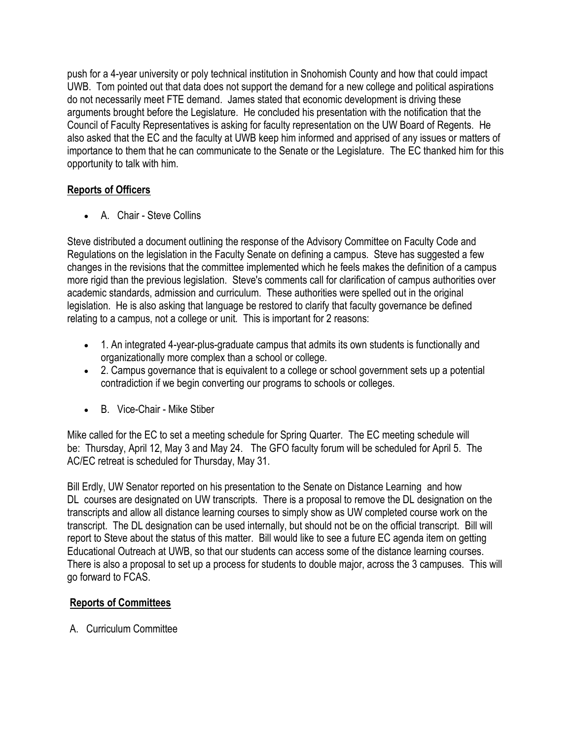push for a 4-year university or poly technical institution in Snohomish County and how that could impact UWB. Tom pointed out that data does not support the demand for a new college and political aspirations do not necessarily meet FTE demand. James stated that economic development is driving these arguments brought before the Legislature. He concluded his presentation with the notification that the Council of Faculty Representatives is asking for faculty representation on the UW Board of Regents. He also asked that the EC and the faculty at UWB keep him informed and apprised of any issues or matters of importance to them that he can communicate to the Senate or the Legislature. The EC thanked him for this opportunity to talk with him.

# **Reports of Officers**

A. Chair - Steve Collins

Steve distributed a document outlining the response of the Advisory Committee on Faculty Code and Regulations on the legislation in the Faculty Senate on defining a campus. Steve has suggested a few changes in the revisions that the committee implemented which he feels makes the definition of a campus more rigid than the previous legislation. Steve's comments call for clarification of campus authorities over academic standards, admission and curriculum. These authorities were spelled out in the original legislation. He is also asking that language be restored to clarify that faculty governance be defined relating to a campus, not a college or unit. This is important for 2 reasons:

- 1. An integrated 4-year-plus-graduate campus that admits its own students is functionally and organizationally more complex than a school or college.
- 2. Campus governance that is equivalent to a college or school government sets up a potential contradiction if we begin converting our programs to schools or colleges.
- B. Vice-Chair Mike Stiber

Mike called for the EC to set a meeting schedule for Spring Quarter. The EC meeting schedule will be: Thursday, April 12, May 3 and May 24. The GFO faculty forum will be scheduled for April 5. The AC/EC retreat is scheduled for Thursday, May 31.

Bill Erdly, UW Senator reported on his presentation to the Senate on Distance Learning and how DL courses are designated on UW transcripts. There is a proposal to remove the DL designation on the transcripts and allow all distance learning courses to simply show as UW completed course work on the transcript. The DL designation can be used internally, but should not be on the official transcript. Bill will report to Steve about the status of this matter. Bill would like to see a future EC agenda item on getting Educational Outreach at UWB, so that our students can access some of the distance learning courses. There is also a proposal to set up a process for students to double major, across the 3 campuses. This will go forward to FCAS.

## **Reports of Committees**

A. Curriculum Committee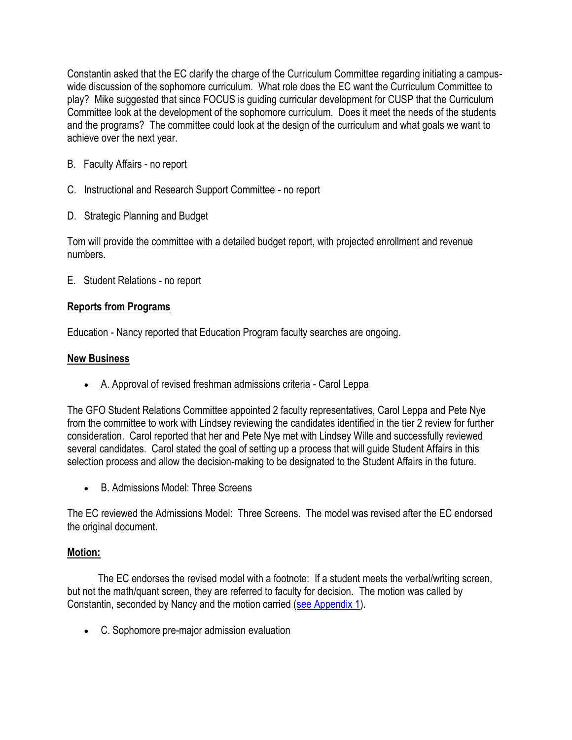Constantin asked that the EC clarify the charge of the Curriculum Committee regarding initiating a campuswide discussion of the sophomore curriculum. What role does the EC want the Curriculum Committee to play? Mike suggested that since FOCUS is guiding curricular development for CUSP that the Curriculum Committee look at the development of the sophomore curriculum. Does it meet the needs of the students and the programs? The committee could look at the design of the curriculum and what goals we want to achieve over the next year.

- B. Faculty Affairs no report
- C. Instructional and Research Support Committee no report
- D. Strategic Planning and Budget

Tom will provide the committee with a detailed budget report, with projected enrollment and revenue numbers.

E. Student Relations - no report

### **Reports from Programs**

Education - Nancy reported that Education Program faculty searches are ongoing.

### **New Business**

A. Approval of revised freshman admissions criteria - Carol Leppa

The GFO Student Relations Committee appointed 2 faculty representatives, Carol Leppa and Pete Nye from the committee to work with Lindsey reviewing the candidates identified in the tier 2 review for further consideration. Carol reported that her and Pete Nye met with Lindsey Wille and successfully reviewed several candidates. Carol stated the goal of setting up a process that will guide Student Affairs in this selection process and allow the decision-making to be designated to the Student Affairs in the future.

B. Admissions Model: Three Screens

The EC reviewed the Admissions Model: Three Screens. The model was revised after the EC endorsed the original document.

### **Motion:**

 The EC endorses the revised model with a footnote: If a student meets the verbal/writing screen, but not the math/quant screen, they are referred to faculty for decision. The motion was called by Constantin, seconded by Nancy and the motion carried [\(see Appendix 1\)](http://www.uwb.edu/gfo/minutes/ECMinutes2-28-07-Appendix1.pdf).

C. Sophomore pre-major admission evaluation